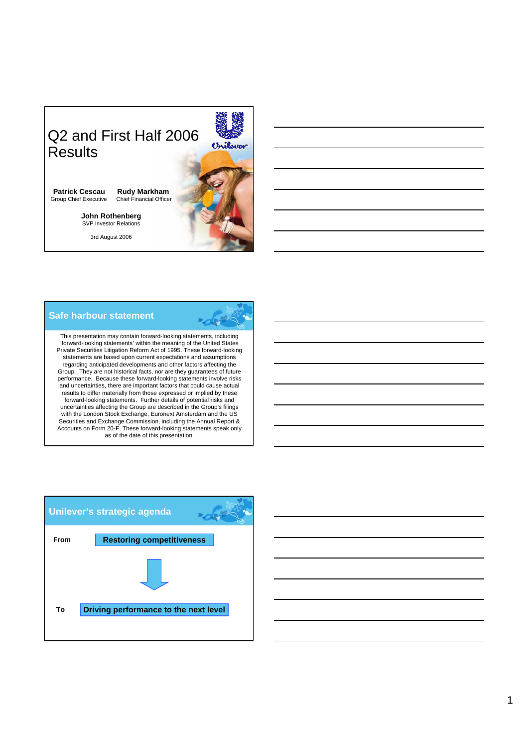

## **Safe harbour statement**

This presentation may contain forward-looking statements, including 'forward-looking statements' within the meaning of the United States Private Securities Litigation Reform Act of 1995. These forward-looking statements are based upon current expectations and assumptions regarding anticipated developments and other factors affecting the Group. They are not historical facts, nor are they guarantees of future performance. Because these forward-looking statements involve risks and uncertainties, there are important factors that could cause actual results to differ materially from those expressed or implied by these forward-looking statements. Further details of potential risks and uncertainties affecting the Group are described in the Group's filings with the London Stock Exchange, Euronext Amsterdam and the US Securities and Exchange Commission, including the Annual Report & Accounts on Form 20-F. These forward-looking statements speak only as of the date of this presentation.

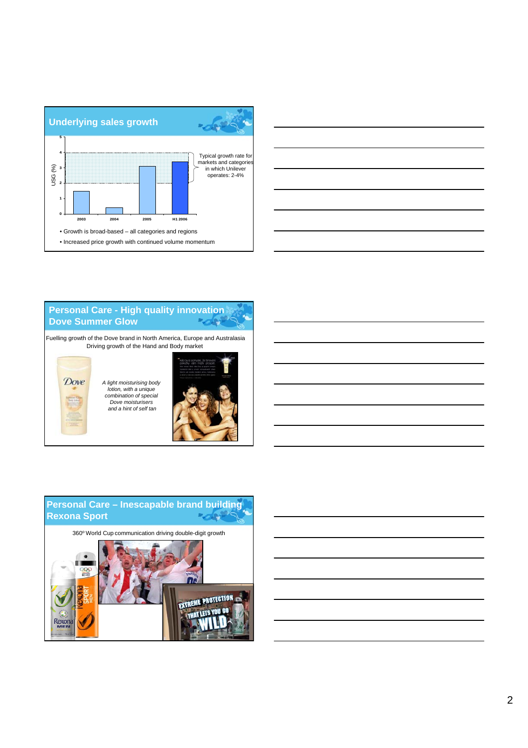



### **Personal Care - High quality innovation Dove Summer Glow** "dei

Fuelling growth of the Dove brand in North America, Europe and Australasia Driving growth of the Hand and Body market

Dove

*A light moisturising body lotion, with a unique combination of special Dove moisturisers and a hint of self tan*



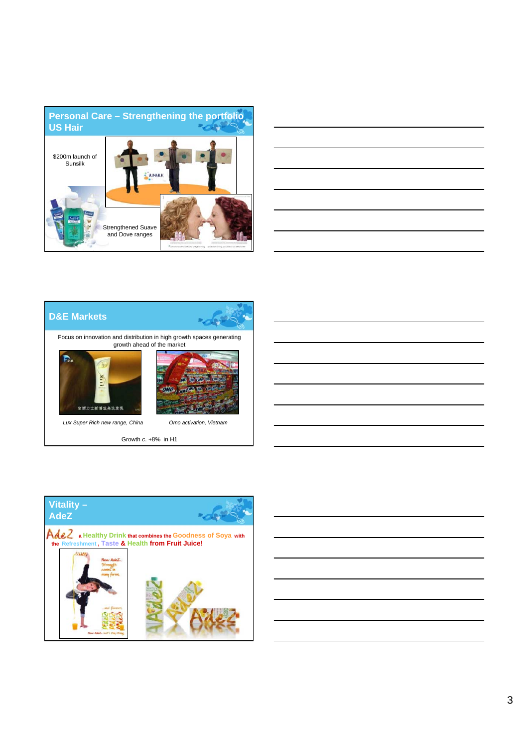

| the contract of the contract of the contract of the contract of the contract of |  |  |
|---------------------------------------------------------------------------------|--|--|
|                                                                                 |  |  |
|                                                                                 |  |  |
|                                                                                 |  |  |
|                                                                                 |  |  |
|                                                                                 |  |  |
|                                                                                 |  |  |
|                                                                                 |  |  |
|                                                                                 |  |  |
|                                                                                 |  |  |
|                                                                                 |  |  |
|                                                                                 |  |  |
|                                                                                 |  |  |





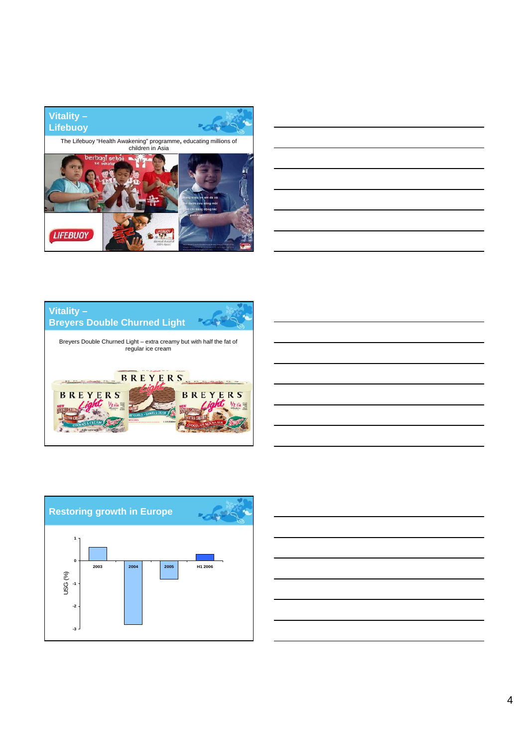









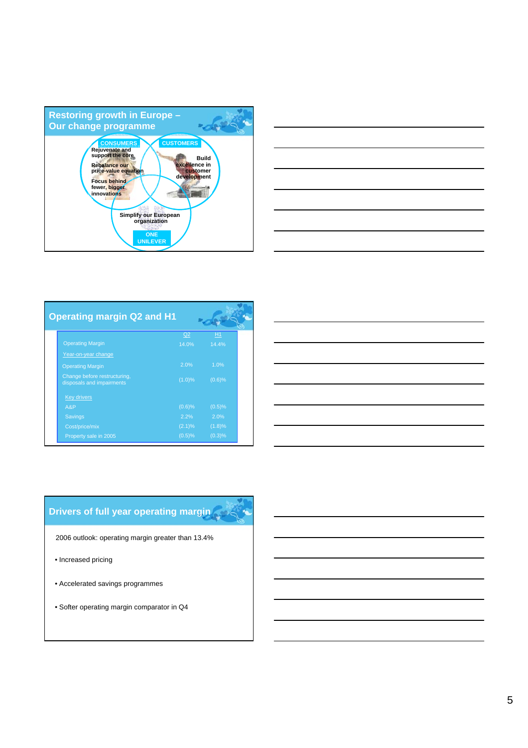



| <b>Operating margin Q2 and H1</b>                         |           |        |  |
|-----------------------------------------------------------|-----------|--------|--|
|                                                           | Q2        | H1     |  |
| <b>Operating Margin</b>                                   | 14.0%     | 14.4%  |  |
| Year-on-year change                                       |           |        |  |
| <b>Operating Margin</b>                                   | 2.0%      | 1.0%   |  |
| Change before restructuring,<br>disposals and impairments | $(1.0)\%$ | (0.6)% |  |
| <b>Key drivers</b>                                        |           |        |  |
| A&P                                                       | (0.6)%    | (0.5)% |  |
| Savings                                                   | 2.2%      | 2.0%   |  |
| Cost/price/mix                                            | $(2.1)\%$ | (1.8)% |  |
| Property sale in 2005                                     | (0.5)%    | (0.3)% |  |

| ,我们也不会有什么?""我们的人,我们也不会有什么?""我们的人,我们也不会有什么?""我们的人,我们也不会有什么?""我们的人,我们也不会有什么?""我们的人                                      |  |  |
|-----------------------------------------------------------------------------------------------------------------------|--|--|
| <u> 1989 - Johann Stoff, amerikansk politiker (d. 1989)</u>                                                           |  |  |
| <u> 1989 - Andrea Andrew Maria (h. 1989).</u>                                                                         |  |  |
| <u> 1989 - Johann Stoff, deutscher Stoff, der Stoff, der Stoff, der Stoff, der Stoff, der Stoff, der Stoff, der S</u> |  |  |
| <u> 1989 - Johann Barn, mars ann an t-Amhainn an t-Amhainn an t-Amhainn an t-Amhainn an t-Amhainn an t-Amhainn an</u> |  |  |
| <u> 1989 - Andrea Andrew Maria (h. 1989).</u>                                                                         |  |  |
|                                                                                                                       |  |  |

# **Drivers of full year operating margin**

2006 outlook: operating margin greater than 13.4%

- Increased pricing
- Accelerated savings programmes
- Softer operating margin comparator in Q4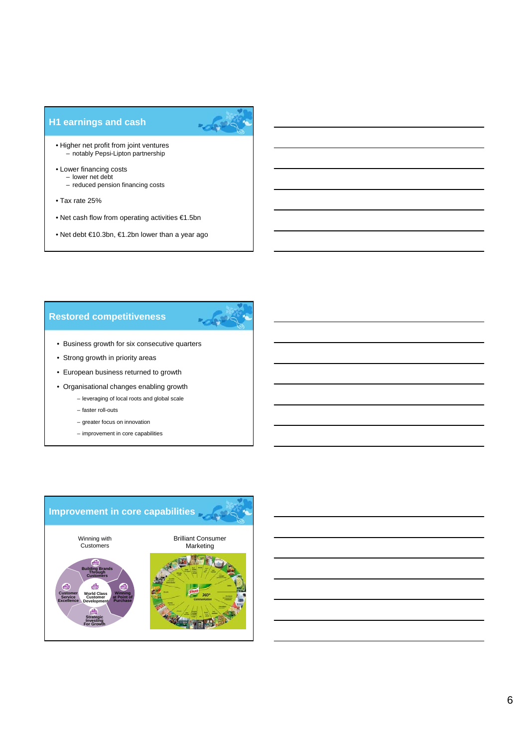# **H1 earnings and cash**



- Higher net profit from joint ventures – notably Pepsi-Lipton partnership
- Lower financing costs
	- lower net debt – reduced pension financing costs
- Tax rate 25%
- Net cash flow from operating activities €1.5bn
- Net debt €10.3bn, €1.2bn lower than a year ago

# **Restored competitiveness**



- Business growth for six consecutive quarters
- Strong growth in priority areas
- European business returned to growth
- Organisational changes enabling growth
	- leveraging of local roots and global scale
	- faster roll-outs
	- greater focus on innovation
	- improvement in core capabilities